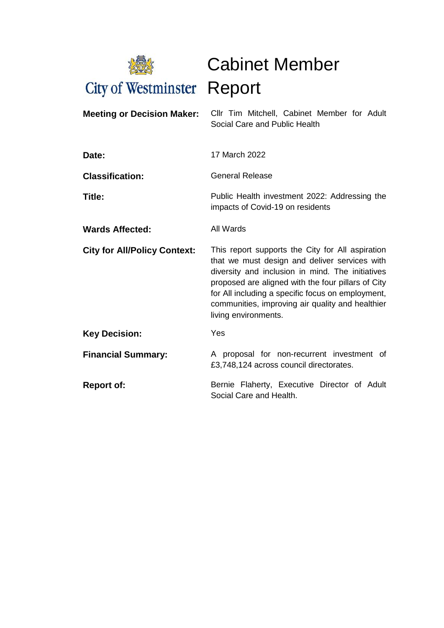

Cabinet Member

| <b>Meeting or Decision Maker:</b>   | Cllr Tim Mitchell, Cabinet Member for Adult<br>Social Care and Public Health                                                                                                                                                                                                                                                                 |  |  |
|-------------------------------------|----------------------------------------------------------------------------------------------------------------------------------------------------------------------------------------------------------------------------------------------------------------------------------------------------------------------------------------------|--|--|
| Date:                               | 17 March 2022                                                                                                                                                                                                                                                                                                                                |  |  |
| <b>Classification:</b>              | <b>General Release</b>                                                                                                                                                                                                                                                                                                                       |  |  |
| Title:                              | Public Health investment 2022: Addressing the<br>impacts of Covid-19 on residents                                                                                                                                                                                                                                                            |  |  |
| <b>Wards Affected:</b>              | All Wards                                                                                                                                                                                                                                                                                                                                    |  |  |
| <b>City for All/Policy Context:</b> | This report supports the City for All aspiration<br>that we must design and deliver services with<br>diversity and inclusion in mind. The initiatives<br>proposed are aligned with the four pillars of City<br>for All including a specific focus on employment,<br>communities, improving air quality and healthier<br>living environments. |  |  |
| <b>Key Decision:</b>                | Yes                                                                                                                                                                                                                                                                                                                                          |  |  |
| <b>Financial Summary:</b>           | A proposal for non-recurrent investment of<br>£3,748,124 across council directorates.                                                                                                                                                                                                                                                        |  |  |
| <b>Report of:</b>                   | Bernie Flaherty, Executive Director of Adult<br>Social Care and Health.                                                                                                                                                                                                                                                                      |  |  |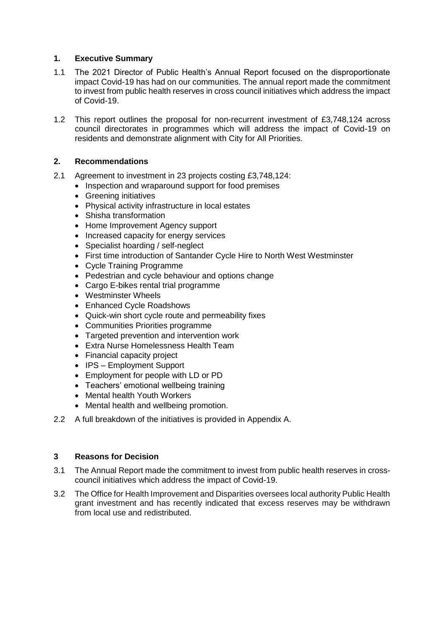# **1. Executive Summary**

- 1.1 The 2021 Director of Public Health's Annual Report focused on the disproportionate impact Covid-19 has had on our communities. The annual report made the commitment to invest from public health reserves in cross council initiatives which address the impact of Covid-19.
- 1.2 This report outlines the proposal for non-recurrent investment of £3,748,124 across council directorates in programmes which will address the impact of Covid-19 on residents and demonstrate alignment with City for All Priorities.

# **2. Recommendations**

- 2.1 Agreement to investment in 23 projects costing £3,748,124:
	- Inspection and wraparound support for food premises
	- Greening initiatives
	- Physical activity infrastructure in local estates
	- Shisha transformation
	- Home Improvement Agency support
	- Increased capacity for energy services
	- Specialist hoarding / self-neglect
	- First time introduction of Santander Cycle Hire to North West Westminster
	- Cycle Training Programme
	- Pedestrian and cycle behaviour and options change
	- Cargo E-bikes rental trial programme
	- Westminster Wheels
	- Enhanced Cycle Roadshows
	- Quick-win short cycle route and permeability fixes
	- Communities Priorities programme
	- Targeted prevention and intervention work
	- Extra Nurse Homelessness Health Team
	- Financial capacity project
	- IPS Employment Support
	- Employment for people with LD or PD
	- Teachers' emotional wellbeing training
	- Mental health Youth Workers
	- Mental health and wellbeing promotion.
- 2.2 A full breakdown of the initiatives is provided in Appendix A.

### **3 Reasons for Decision**

- 3.1 The Annual Report made the commitment to invest from public health reserves in crosscouncil initiatives which address the impact of Covid-19.
- 3.2 The Office for Health Improvement and Disparities oversees local authority Public Health grant investment and has recently indicated that excess reserves may be withdrawn from local use and redistributed.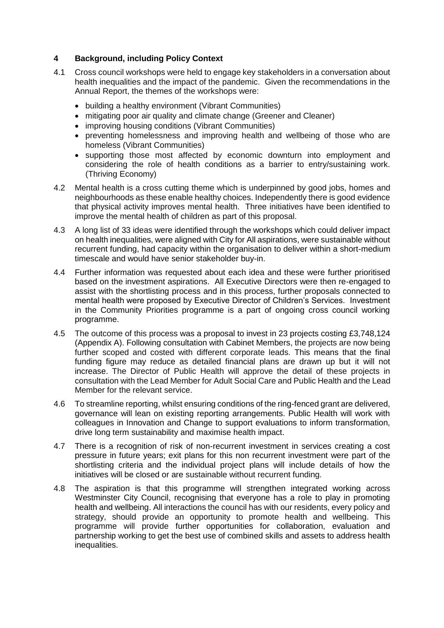# **4 Background, including Policy Context**

- 4.1 Cross council workshops were held to engage key stakeholders in a conversation about health inequalities and the impact of the pandemic. Given the recommendations in the Annual Report, the themes of the workshops were:
	- building a healthy environment (Vibrant Communities)
	- mitigating poor air quality and climate change (Greener and Cleaner)
	- improving housing conditions (Vibrant Communities)
	- preventing homelessness and improving health and wellbeing of those who are homeless (Vibrant Communities)
	- supporting those most affected by economic downturn into employment and considering the role of health conditions as a barrier to entry/sustaining work. (Thriving Economy)
- 4.2 Mental health is a cross cutting theme which is underpinned by good jobs, homes and neighbourhoods as these enable healthy choices. Independently there is good evidence that physical activity improves mental health. Three initiatives have been identified to improve the mental health of children as part of this proposal.
- 4.3 A long list of 33 ideas were identified through the workshops which could deliver impact on health inequalities, were aligned with City for All aspirations, were sustainable without recurrent funding, had capacity within the organisation to deliver within a short-medium timescale and would have senior stakeholder buy-in.
- 4.4 Further information was requested about each idea and these were further prioritised based on the investment aspirations. All Executive Directors were then re-engaged to assist with the shortlisting process and in this process, further proposals connected to mental health were proposed by Executive Director of Children's Services. Investment in the Community Priorities programme is a part of ongoing cross council working programme.
- 4.5 The outcome of this process was a proposal to invest in 23 projects costing £3,748,124 (Appendix A). Following consultation with Cabinet Members, the projects are now being further scoped and costed with different corporate leads. This means that the final funding figure may reduce as detailed financial plans are drawn up but it will not increase. The Director of Public Health will approve the detail of these projects in consultation with the Lead Member for Adult Social Care and Public Health and the Lead Member for the relevant service.
- 4.6 To streamline reporting, whilst ensuring conditions of the ring-fenced grant are delivered, governance will lean on existing reporting arrangements. Public Health will work with colleagues in Innovation and Change to support evaluations to inform transformation, drive long term sustainability and maximise health impact.
- 4.7 There is a recognition of risk of non-recurrent investment in services creating a cost pressure in future years; exit plans for this non recurrent investment were part of the shortlisting criteria and the individual project plans will include details of how the initiatives will be closed or are sustainable without recurrent funding.
- 4.8 The aspiration is that this programme will strengthen integrated working across Westminster City Council, recognising that everyone has a role to play in promoting health and wellbeing. All interactions the council has with our residents, every policy and strategy, should provide an opportunity to promote health and wellbeing. This programme will provide further opportunities for collaboration, evaluation and partnership working to get the best use of combined skills and assets to address health inequalities.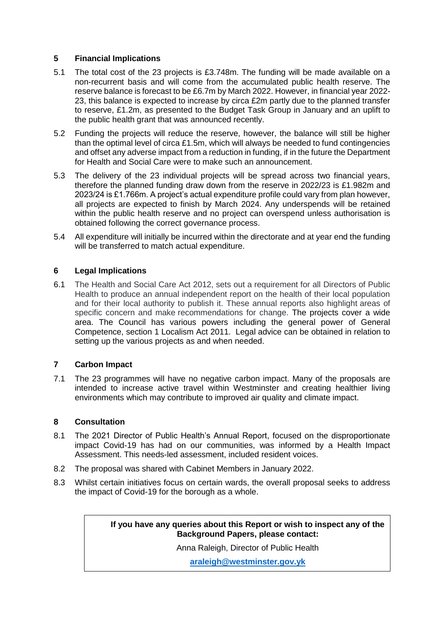# **5 Financial Implications**

- 5.1 The total cost of the 23 projects is £3.748m. The funding will be made available on a non-recurrent basis and will come from the accumulated public health reserve. The reserve balance is forecast to be £6.7m by March 2022. However, in financial year 2022- 23, this balance is expected to increase by circa £2m partly due to the planned transfer to reserve, £1.2m, as presented to the Budget Task Group in January and an uplift to the public health grant that was announced recently.
- 5.2 Funding the projects will reduce the reserve, however, the balance will still be higher than the optimal level of circa £1.5m, which will always be needed to fund contingencies and offset any adverse impact from a reduction in funding, if in the future the Department for Health and Social Care were to make such an announcement.
- 5.3 The delivery of the 23 individual projects will be spread across two financial years, therefore the planned funding draw down from the reserve in 2022/23 is £1.982m and 2023/24 is £1.766m. A project's actual expenditure profile could vary from plan however, all projects are expected to finish by March 2024. Any underspends will be retained within the public health reserve and no project can overspend unless authorisation is obtained following the correct governance process.
- 5.4 All expenditure will initially be incurred within the directorate and at year end the funding will be transferred to match actual expenditure.

# **6 Legal Implications**

6.1 The Health and Social Care Act 2012, sets out a requirement for all Directors of Public Health to produce an annual independent report on the health of their local population and for their local authority to publish it. These annual reports also highlight areas of specific concern and make recommendations for change. The projects cover a wide area. The Council has various powers including the general power of General Competence, section 1 Localism Act 2011. Legal advice can be obtained in relation to setting up the various projects as and when needed.

### **7 Carbon Impact**

7.1 The 23 programmes will have no negative carbon impact. Many of the proposals are intended to increase active travel within Westminster and creating healthier living environments which may contribute to improved air quality and climate impact.

### **8 Consultation**

- 8.1 The 2021 Director of Public Health's Annual Report, focused on the disproportionate impact Covid-19 has had on our communities, was informed by a Health Impact Assessment. This needs-led assessment, included resident voices.
- 8.2 The proposal was shared with Cabinet Members in January 2022.
- 8.3 Whilst certain initiatives focus on certain wards, the overall proposal seeks to address the impact of Covid-19 for the borough as a whole.

**If you have any queries about this Report or wish to inspect any of the Background Papers, please contact:**

Anna Raleigh, Director of Public Health

**[araleigh@westminster.gov.yk](mailto:araleigh@westminster.gov.yk)**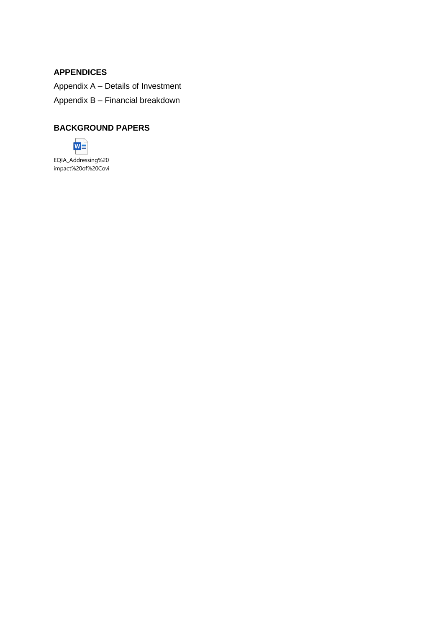# **APPENDICES**

Appendix A – Details of Investment Appendix B – Financial breakdown

# **BACKGROUND PAPERS**



EQIA\_Addressing%20 impact%20of%20Covi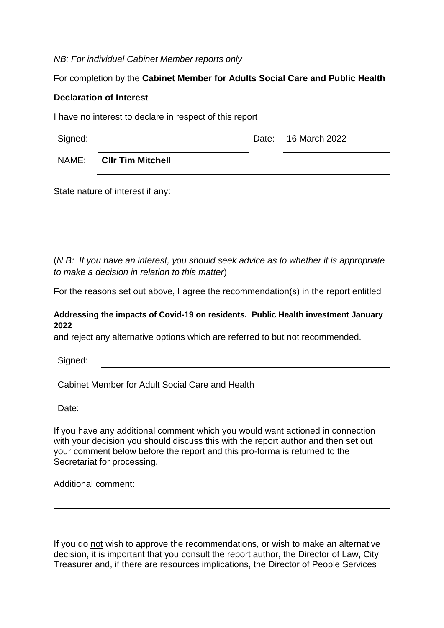*NB: For individual Cabinet Member reports only*

# For completion by the **Cabinet Member for Adults Social Care and Public Health**

# **Declaration of Interest**

I have no interest to declare in respect of this report

| Signed: |                         | Date: 16 March 2022 |
|---------|-------------------------|---------------------|
|         | NAME: CIIr Tim Mitchell |                     |

State nature of interest if any:

(*N.B: If you have an interest, you should seek advice as to whether it is appropriate to make a decision in relation to this matter*)

For the reasons set out above, I agree the recommendation(s) in the report entitled

# **Addressing the impacts of Covid-19 on residents. Public Health investment January 2022**

and reject any alternative options which are referred to but not recommended.

Signed:

Cabinet Member for Adult Social Care and Health

Date:

If you have any additional comment which you would want actioned in connection with your decision you should discuss this with the report author and then set out your comment below before the report and this pro-forma is returned to the Secretariat for processing.

Additional comment:

If you do not wish to approve the recommendations, or wish to make an alternative decision, it is important that you consult the report author, the Director of Law, City Treasurer and, if there are resources implications, the Director of People Services